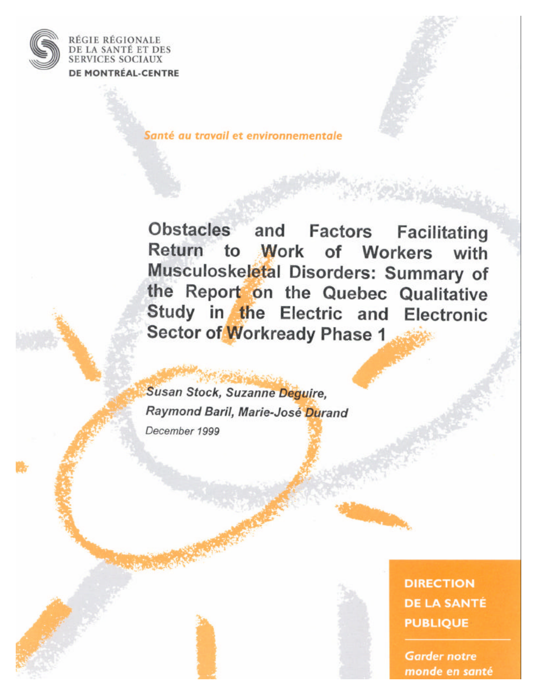

RÉGIE RÉGIONALE DE LA SANTÉ ET DES **SERVICES SOCIAUX** DE MONTRÉAL-CENTRE

Santé au travail et environnementale

Obstacles and Factors Facilitating Return to Work of Workers with Musculoskeletal Disorders: Summary of the Report on the Quebec Qualitative Study in the Electric and Electronic Sector of Workready Phase 1

Susan Stock, Suzanne Deguire, Raymond Baril, Marie-José Durand December 1999

> **DIRECTION DE LA SANTÉ PUBLIQUE**

**Garder notre** monde en santé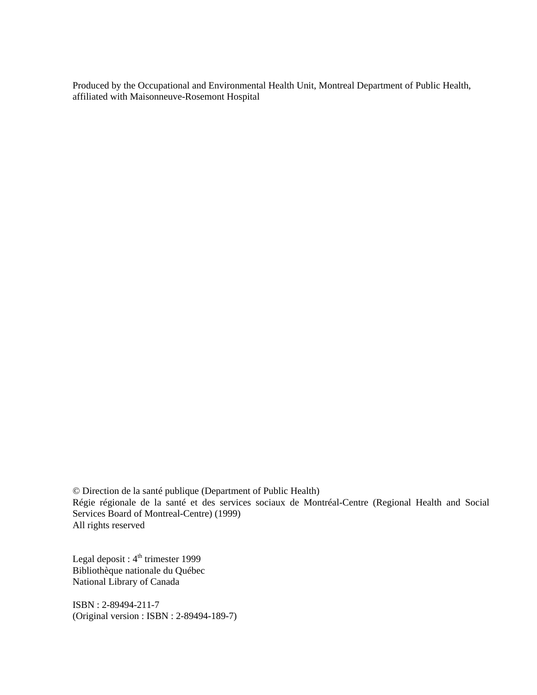Produced by the Occupational and Environmental Health Unit, Montreal Department of Public Health, affiliated with Maisonneuve-Rosemont Hospital

© Direction de la santé publique (Department of Public Health) Régie régionale de la santé et des services sociaux de Montréal-Centre (Regional Health and Social Services Board of Montreal-Centre) (1999) All rights reserved

Legal deposit : 4<sup>th</sup> trimester 1999 Bibliothèque nationale du Québec National Library of Canada

ISBN : 2-89494-211-7 (Original version : ISBN : 2-89494-189-7)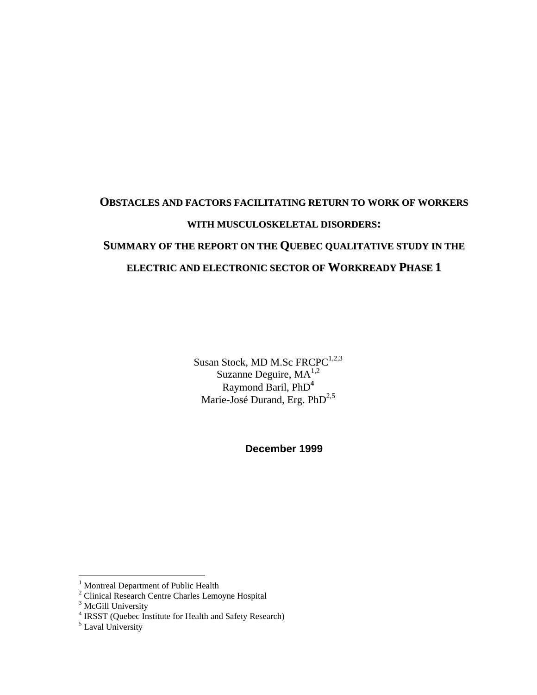# **OBSTACLES AND FACTORS FACILITATING RETURN TO WORK OF WORKERS WITH MUSCULOSKELETAL DISORDERS: SUMMARY OF THE REPORT ON THE QUEBEC QUALITATIVE STUDY IN THE ELECTRIC AND ELECTRONIC SECTOR OF WORKREADY PHASE 1**

Susan Stock, MD M.Sc FRCPC<sup>1,2,3</sup> Suzanne Deguire, MA<sup>1,2</sup> Raymond Baril, PhD**<sup>4</sup>** Marie-José Durand, Erg.  $PhD^{2,5}$ 

**December 1999**

1

<sup>&</sup>lt;sup>1</sup> Montreal Department of Public Health

<sup>&</sup>lt;sup>2</sup> Clinical Research Centre Charles Lemoyne Hospital

 $3$  McGill University

<sup>&</sup>lt;sup>4</sup> IRSST (Quebec Institute for Health and Safety Research)

<sup>&</sup>lt;sup>5</sup> Laval University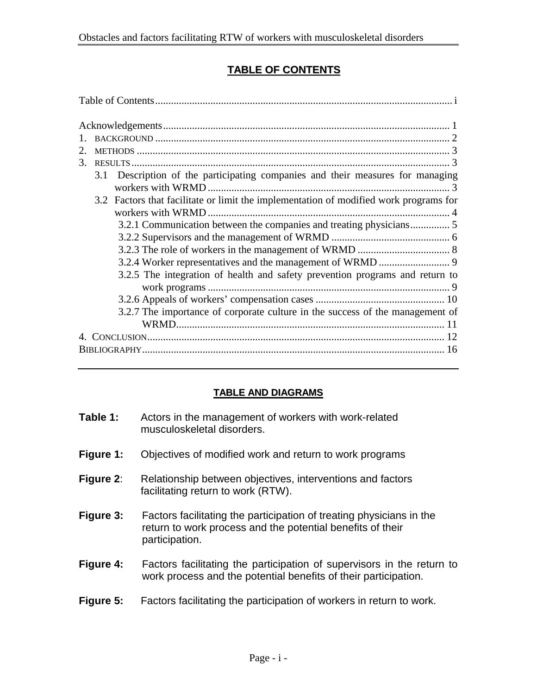## **TABLE OF CONTENTS**

| $2_{-}$ |                                                                                       |  |
|---------|---------------------------------------------------------------------------------------|--|
| $3_{-}$ |                                                                                       |  |
| 3.1     | Description of the participating companies and their measures for managing            |  |
|         |                                                                                       |  |
|         | 3.2 Factors that facilitate or limit the implementation of modified work programs for |  |
|         |                                                                                       |  |
|         | 3.2.1 Communication between the companies and treating physicians 5                   |  |
|         |                                                                                       |  |
|         |                                                                                       |  |
|         |                                                                                       |  |
|         | 3.2.5 The integration of health and safety prevention programs and return to          |  |
|         |                                                                                       |  |
|         |                                                                                       |  |
|         | 3.2.7 The importance of corporate culture in the success of the management of         |  |
|         |                                                                                       |  |
|         |                                                                                       |  |
|         |                                                                                       |  |

#### **TABLE AND DIAGRAMS**

| Table 1:  | Actors in the management of workers with work-related<br>musculoskeletal disorders.                                                                  |
|-----------|------------------------------------------------------------------------------------------------------------------------------------------------------|
| Figure 1: | Objectives of modified work and return to work programs                                                                                              |
| Figure 2: | Relationship between objectives, interventions and factors<br>facilitating return to work (RTW).                                                     |
| Figure 3: | Factors facilitating the participation of treating physicians in the<br>return to work process and the potential benefits of their<br>participation. |
| Figure 4: | Factors facilitating the participation of supervisors in the return to<br>work process and the potential benefits of their participation.            |
| Figure 5: | Factors facilitating the participation of workers in return to work.                                                                                 |
|           |                                                                                                                                                      |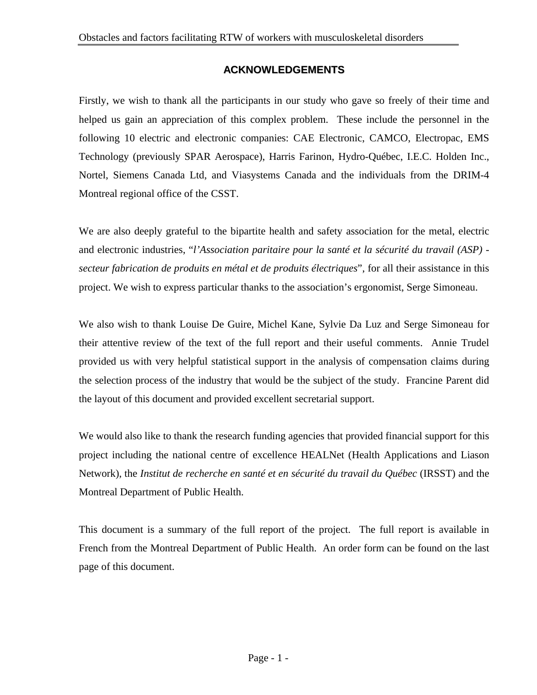#### **ACKNOWLEDGEMENTS**

Firstly, we wish to thank all the participants in our study who gave so freely of their time and helped us gain an appreciation of this complex problem. These include the personnel in the following 10 electric and electronic companies: CAE Electronic, CAMCO, Electropac, EMS Technology (previously SPAR Aerospace), Harris Farinon, Hydro-Québec, I.E.C. Holden Inc., Nortel, Siemens Canada Ltd, and Viasystems Canada and the individuals from the DRIM-4 Montreal regional office of the CSST.

We are also deeply grateful to the bipartite health and safety association for the metal, electric and electronic industries, "*l'Association paritaire pour la santé et la sécurité du travail (ASP) secteur fabrication de produits en métal et de produits électriques*", for all their assistance in this project. We wish to express particular thanks to the association's ergonomist, Serge Simoneau.

We also wish to thank Louise De Guire, Michel Kane, Sylvie Da Luz and Serge Simoneau for their attentive review of the text of the full report and their useful comments. Annie Trudel provided us with very helpful statistical support in the analysis of compensation claims during the selection process of the industry that would be the subject of the study. Francine Parent did the layout of this document and provided excellent secretarial support.

We would also like to thank the research funding agencies that provided financial support for this project including the national centre of excellence HEALNet (Health Applications and Liason Network), the *Institut de recherche en santé et en sécurité du travail du Québec* (IRSST) and the Montreal Department of Public Health.

This document is a summary of the full report of the project. The full report is available in French from the Montreal Department of Public Health. An order form can be found on the last page of this document.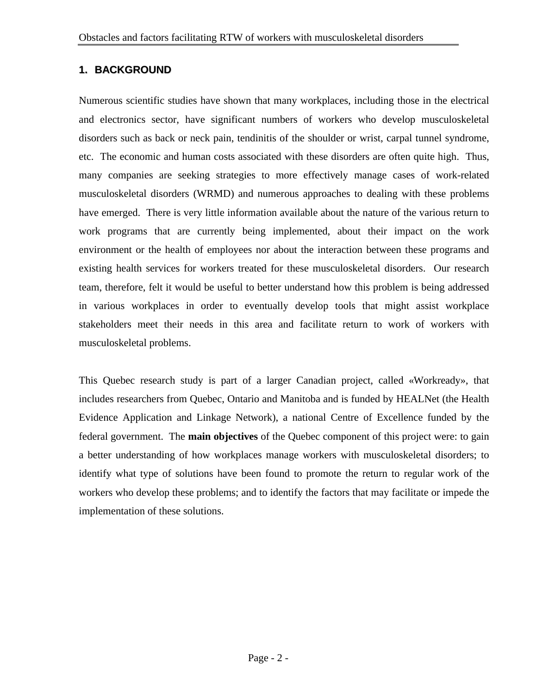#### **1. BACKGROUND**

Numerous scientific studies have shown that many workplaces, including those in the electrical and electronics sector, have significant numbers of workers who develop musculoskeletal disorders such as back or neck pain, tendinitis of the shoulder or wrist, carpal tunnel syndrome, etc. The economic and human costs associated with these disorders are often quite high. Thus, many companies are seeking strategies to more effectively manage cases of work-related musculoskeletal disorders (WRMD) and numerous approaches to dealing with these problems have emerged. There is very little information available about the nature of the various return to work programs that are currently being implemented, about their impact on the work environment or the health of employees nor about the interaction between these programs and existing health services for workers treated for these musculoskeletal disorders. Our research team, therefore, felt it would be useful to better understand how this problem is being addressed in various workplaces in order to eventually develop tools that might assist workplace stakeholders meet their needs in this area and facilitate return to work of workers with musculoskeletal problems.

This Quebec research study is part of a larger Canadian project, called «Workready», that includes researchers from Quebec, Ontario and Manitoba and is funded by HEALNet (the Health Evidence Application and Linkage Network), a national Centre of Excellence funded by the federal government. The **main objectives** of the Quebec component of this project were: to gain a better understanding of how workplaces manage workers with musculoskeletal disorders; to identify what type of solutions have been found to promote the return to regular work of the workers who develop these problems; and to identify the factors that may facilitate or impede the implementation of these solutions.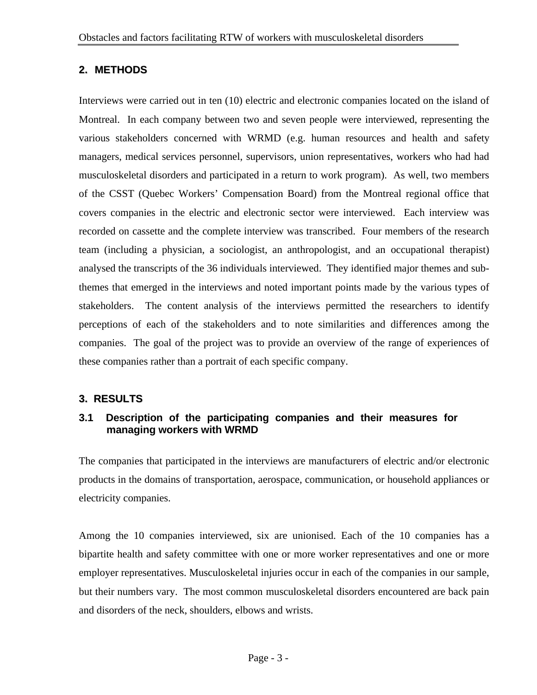#### **2. METHODS**

Interviews were carried out in ten (10) electric and electronic companies located on the island of Montreal. In each company between two and seven people were interviewed, representing the various stakeholders concerned with WRMD (e.g. human resources and health and safety managers, medical services personnel, supervisors, union representatives, workers who had had musculoskeletal disorders and participated in a return to work program). As well, two members of the CSST (Quebec Workers' Compensation Board) from the Montreal regional office that covers companies in the electric and electronic sector were interviewed. Each interview was recorded on cassette and the complete interview was transcribed. Four members of the research team (including a physician, a sociologist, an anthropologist, and an occupational therapist) analysed the transcripts of the 36 individuals interviewed. They identified major themes and subthemes that emerged in the interviews and noted important points made by the various types of stakeholders. The content analysis of the interviews permitted the researchers to identify perceptions of each of the stakeholders and to note similarities and differences among the companies. The goal of the project was to provide an overview of the range of experiences of these companies rather than a portrait of each specific company.

#### **3. RESULTS**

#### **3.1 Description of the participating companies and their measures for managing workers with WRMD**

The companies that participated in the interviews are manufacturers of electric and/or electronic products in the domains of transportation, aerospace, communication, or household appliances or electricity companies.

Among the 10 companies interviewed, six are unionised. Each of the 10 companies has a bipartite health and safety committee with one or more worker representatives and one or more employer representatives. Musculoskeletal injuries occur in each of the companies in our sample, but their numbers vary. The most common musculoskeletal disorders encountered are back pain and disorders of the neck, shoulders, elbows and wrists.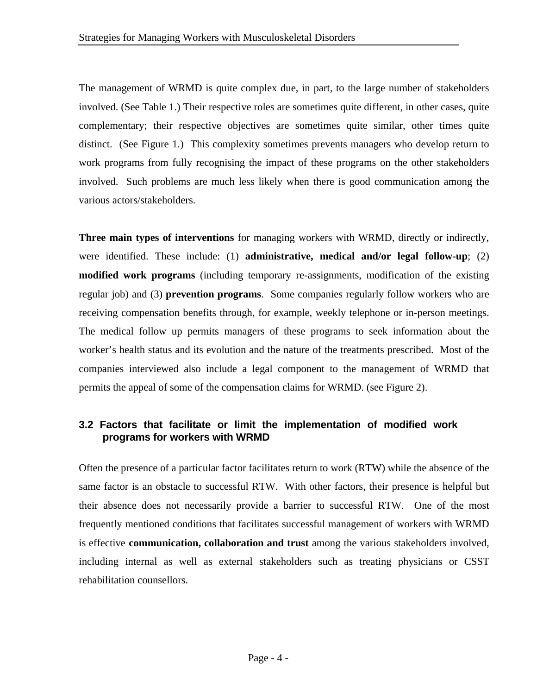The management of WRMD is quite complex due, in part, to the large number of stakeholders involved. (See Table 1.) Their respective roles are sometimes quite different, in other cases, quite complementary; their respective objectives are sometimes quite similar, other times quite distinct. (See Figure 1.) This complexity sometimes prevents managers who develop return to work programs from fully recognising the impact of these programs on the other stakeholders involved. Such problems are much less likely when there is good communication among the various actors/stakeholders.

**Three main types of interventions** for managing workers with WRMD, directly or indirectly, were identified. These include: (1) **administrative, medical and/or legal follow-up**; (2) **modified work programs** (including temporary re-assignments, modification of the existing regular job) and (3) **prevention programs**. Some companies regularly follow workers who are receiving compensation benefits through, for example, weekly telephone or in-person meetings. The medical follow up permits managers of these programs to seek information about the worker's health status and its evolution and the nature of the treatments prescribed. Most of the companies interviewed also include a legal component to the management of WRMD that permits the appeal of some of the compensation claims for WRMD. (see Figure 2).

#### **3.2 Factors that facilitate or limit the implementation of modified work programs for workers with WRMD**

Often the presence of a particular factor facilitates return to work (RTW) while the absence of the same factor is an obstacle to successful RTW. With other factors, their presence is helpful but their absence does not necessarily provide a barrier to successful RTW. One of the most frequently mentioned conditions that facilitates successful management of workers with WRMD is effective **communication, collaboration and trust** among the various stakeholders involved, including internal as well as external stakeholders such as treating physicians or CSST rehabilitation counsellors.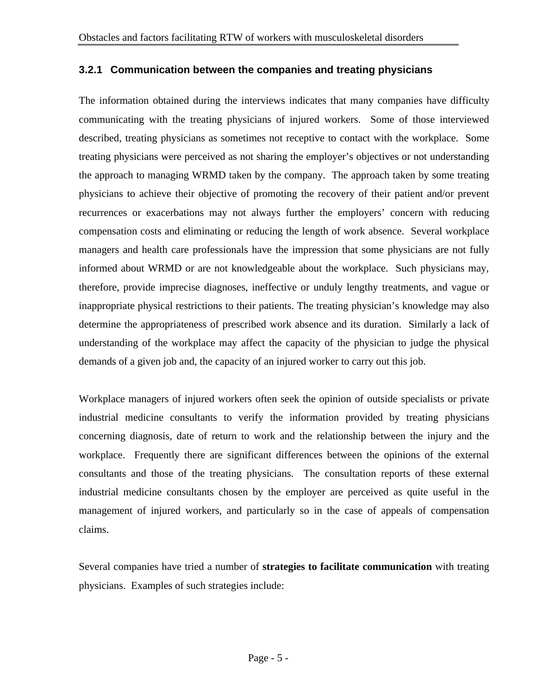#### **3.2.1 Communication between the companies and treating physicians**

The information obtained during the interviews indicates that many companies have difficulty communicating with the treating physicians of injured workers. Some of those interviewed described, treating physicians as sometimes not receptive to contact with the workplace. Some treating physicians were perceived as not sharing the employer's objectives or not understanding the approach to managing WRMD taken by the company. The approach taken by some treating physicians to achieve their objective of promoting the recovery of their patient and/or prevent recurrences or exacerbations may not always further the employers' concern with reducing compensation costs and eliminating or reducing the length of work absence. Several workplace managers and health care professionals have the impression that some physicians are not fully informed about WRMD or are not knowledgeable about the workplace. Such physicians may, therefore, provide imprecise diagnoses, ineffective or unduly lengthy treatments, and vague or inappropriate physical restrictions to their patients. The treating physician's knowledge may also determine the appropriateness of prescribed work absence and its duration. Similarly a lack of understanding of the workplace may affect the capacity of the physician to judge the physical demands of a given job and, the capacity of an injured worker to carry out this job.

Workplace managers of injured workers often seek the opinion of outside specialists or private industrial medicine consultants to verify the information provided by treating physicians concerning diagnosis, date of return to work and the relationship between the injury and the workplace. Frequently there are significant differences between the opinions of the external consultants and those of the treating physicians. The consultation reports of these external industrial medicine consultants chosen by the employer are perceived as quite useful in the management of injured workers, and particularly so in the case of appeals of compensation claims.

Several companies have tried a number of **strategies to facilitate communication** with treating physicians. Examples of such strategies include: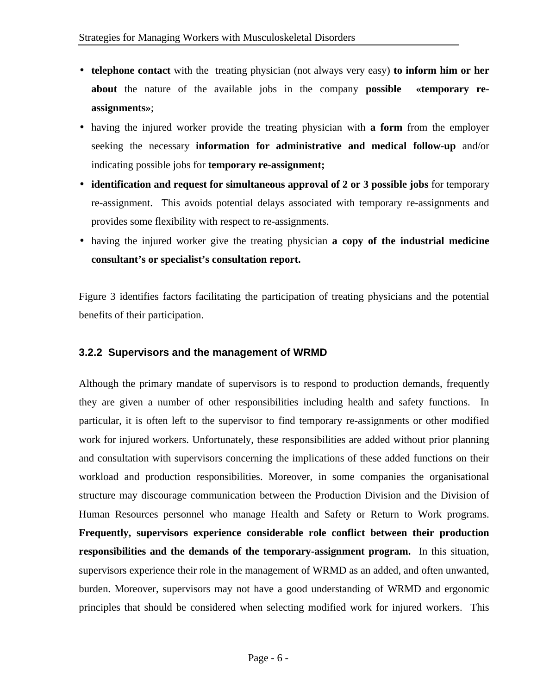- **telephone contact** with the treating physician (not always very easy) **to inform him or her about** the nature of the available jobs in the company **possible «temporary reassignments»**;
- having the injured worker provide the treating physician with **a form** from the employer seeking the necessary **information for administrative and medical follow-up** and/or indicating possible jobs for **temporary re-assignment;**
- **identification and request for simultaneous approval of 2 or 3 possible jobs** for temporary re-assignment. This avoids potential delays associated with temporary re-assignments and provides some flexibility with respect to re-assignments.
- having the injured worker give the treating physician **a copy of the industrial medicine consultant's or specialist's consultation report.**

Figure 3 identifies factors facilitating the participation of treating physicians and the potential benefits of their participation.

#### **3.2.2 Supervisors and the management of WRMD**

Although the primary mandate of supervisors is to respond to production demands, frequently they are given a number of other responsibilities including health and safety functions. In particular, it is often left to the supervisor to find temporary re-assignments or other modified work for injured workers. Unfortunately, these responsibilities are added without prior planning and consultation with supervisors concerning the implications of these added functions on their workload and production responsibilities. Moreover, in some companies the organisational structure may discourage communication between the Production Division and the Division of Human Resources personnel who manage Health and Safety or Return to Work programs. **Frequently, supervisors experience considerable role conflict between their production responsibilities and the demands of the temporary-assignment program.** In this situation, supervisors experience their role in the management of WRMD as an added, and often unwanted, burden. Moreover, supervisors may not have a good understanding of WRMD and ergonomic principles that should be considered when selecting modified work for injured workers. This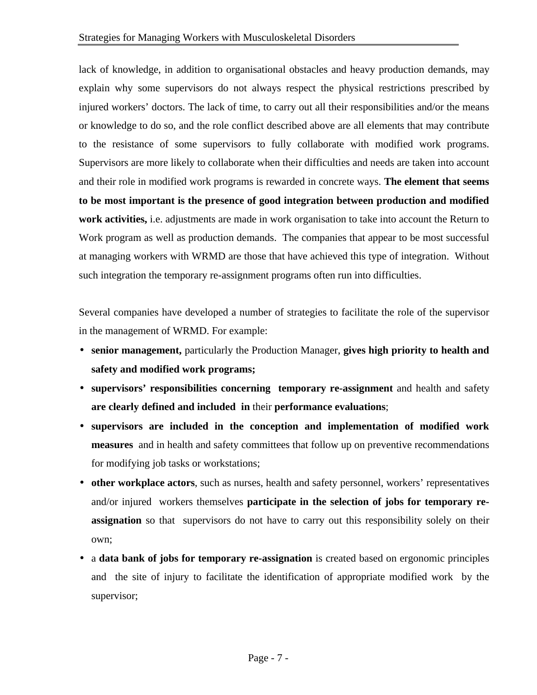lack of knowledge, in addition to organisational obstacles and heavy production demands, may explain why some supervisors do not always respect the physical restrictions prescribed by injured workers' doctors. The lack of time, to carry out all their responsibilities and/or the means or knowledge to do so, and the role conflict described above are all elements that may contribute to the resistance of some supervisors to fully collaborate with modified work programs. Supervisors are more likely to collaborate when their difficulties and needs are taken into account and their role in modified work programs is rewarded in concrete ways. **The element that seems to be most important is the presence of good integration between production and modified work activities,** i.e. adjustments are made in work organisation to take into account the Return to Work program as well as production demands. The companies that appear to be most successful at managing workers with WRMD are those that have achieved this type of integration. Without such integration the temporary re-assignment programs often run into difficulties.

Several companies have developed a number of strategies to facilitate the role of the supervisor in the management of WRMD. For example:

- **senior management,** particularly the Production Manager, **gives high priority to health and safety and modified work programs;**
- **supervisors' responsibilities concerning temporary re-assignment** and health and safety **are clearly defined and included in** their **performance evaluations**;
- **supervisors are included in the conception and implementation of modified work measures** and in health and safety committees that follow up on preventive recommendations for modifying job tasks or workstations;
- **other workplace actors**, such as nurses, health and safety personnel, workers' representatives and/or injured workers themselves **participate in the selection of jobs for temporary reassignation** so that supervisors do not have to carry out this responsibility solely on their own;
- a **data bank of jobs for temporary re-assignation** is created based on ergonomic principles and the site of injury to facilitate the identification of appropriate modified work by the supervisor;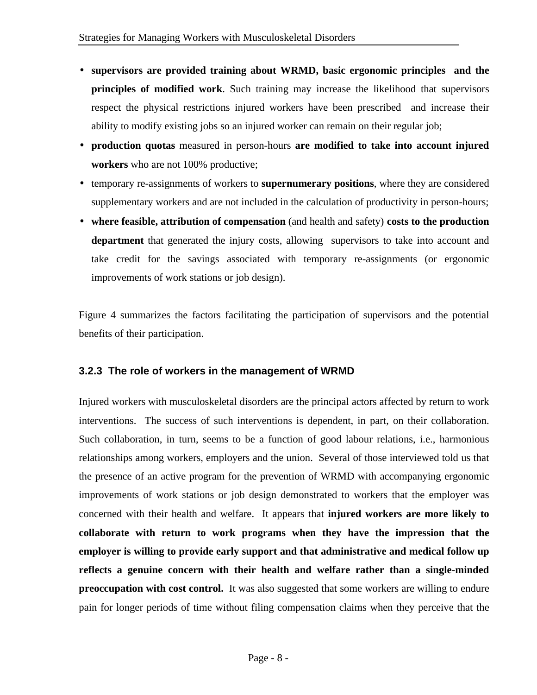- **supervisors are provided training about WRMD, basic ergonomic principles and the principles of modified work**. Such training may increase the likelihood that supervisors respect the physical restrictions injured workers have been prescribed and increase their ability to modify existing jobs so an injured worker can remain on their regular job;
- **production quotas** measured in person-hours **are modified to take into account injured workers** who are not 100% productive;
- temporary re-assignments of workers to **supernumerary positions**, where they are considered supplementary workers and are not included in the calculation of productivity in person-hours;
- **where feasible, attribution of compensation** (and health and safety) **costs to the production department** that generated the injury costs, allowing supervisors to take into account and take credit for the savings associated with temporary re-assignments (or ergonomic improvements of work stations or job design).

Figure 4 summarizes the factors facilitating the participation of supervisors and the potential benefits of their participation.

#### **3.2.3 The role of workers in the management of WRMD**

Injured workers with musculoskeletal disorders are the principal actors affected by return to work interventions. The success of such interventions is dependent, in part, on their collaboration. Such collaboration, in turn, seems to be a function of good labour relations, i.e., harmonious relationships among workers, employers and the union. Several of those interviewed told us that the presence of an active program for the prevention of WRMD with accompanying ergonomic improvements of work stations or job design demonstrated to workers that the employer was concerned with their health and welfare. It appears that **injured workers are more likely to collaborate with return to work programs when they have the impression that the employer is willing to provide early support and that administrative and medical follow up reflects a genuine concern with their health and welfare rather than a single-minded preoccupation with cost control.** It was also suggested that some workers are willing to endure pain for longer periods of time without filing compensation claims when they perceive that the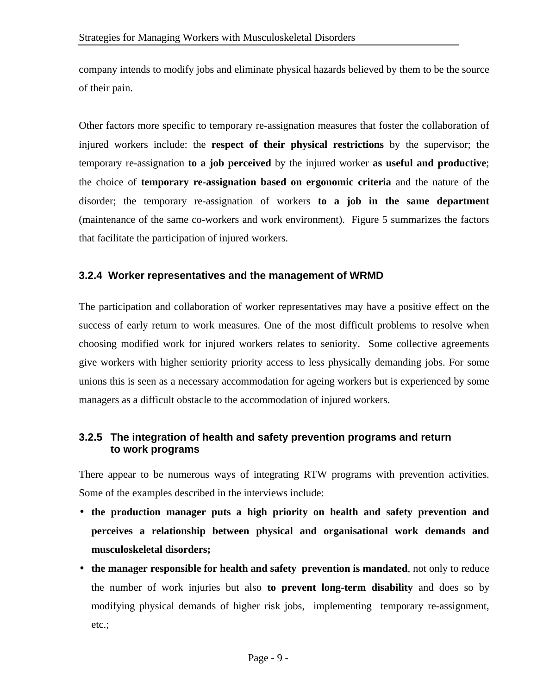company intends to modify jobs and eliminate physical hazards believed by them to be the source of their pain.

Other factors more specific to temporary re-assignation measures that foster the collaboration of injured workers include: the **respect of their physical restrictions** by the supervisor; the temporary re-assignation **to a job perceived** by the injured worker **as useful and productive**; the choice of **temporary re-assignation based on ergonomic criteria** and the nature of the disorder; the temporary re-assignation of workers **to a job in the same department** (maintenance of the same co-workers and work environment). Figure 5 summarizes the factors that facilitate the participation of injured workers.

#### **3.2.4 Worker representatives and the management of WRMD**

The participation and collaboration of worker representatives may have a positive effect on the success of early return to work measures. One of the most difficult problems to resolve when choosing modified work for injured workers relates to seniority. Some collective agreements give workers with higher seniority priority access to less physically demanding jobs. For some unions this is seen as a necessary accommodation for ageing workers but is experienced by some managers as a difficult obstacle to the accommodation of injured workers.

#### **3.2.5 The integration of health and safety prevention programs and return to work programs**

There appear to be numerous ways of integrating RTW programs with prevention activities. Some of the examples described in the interviews include:

- **the production manager puts a high priority on health and safety prevention and perceives a relationship between physical and organisational work demands and musculoskeletal disorders;**
- **the manager responsible for health and safety prevention is mandated**, not only to reduce the number of work injuries but also **to prevent long-term disability** and does so by modifying physical demands of higher risk jobs, implementing temporary re-assignment, etc.;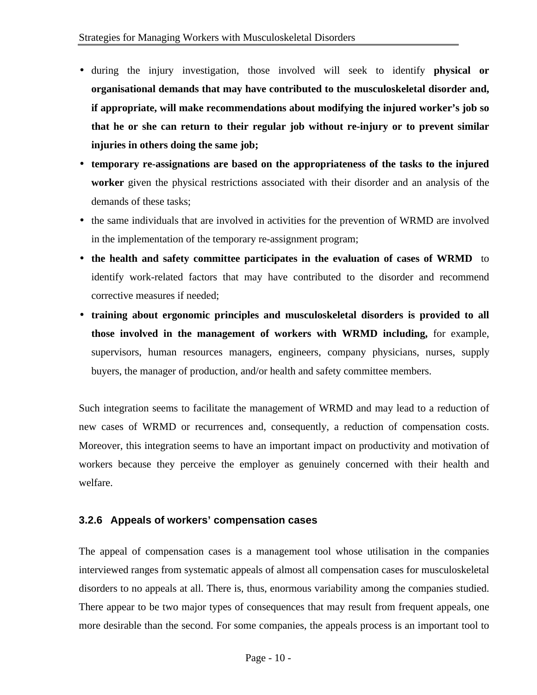- during the injury investigation, those involved will seek to identify **physical or organisational demands that may have contributed to the musculoskeletal disorder and, if appropriate, will make recommendations about modifying the injured worker's job so that he or she can return to their regular job without re-injury or to prevent similar injuries in others doing the same job;**
- **temporary re-assignations are based on the appropriateness of the tasks to the injured worker** given the physical restrictions associated with their disorder and an analysis of the demands of these tasks;
- the same individuals that are involved in activities for the prevention of WRMD are involved in the implementation of the temporary re-assignment program;
- **the health and safety committee participates in the evaluation of cases of WRMD** to identify work-related factors that may have contributed to the disorder and recommend corrective measures if needed;
- **training about ergonomic principles and musculoskeletal disorders is provided to all those involved in the management of workers with WRMD including,** for example, supervisors, human resources managers, engineers, company physicians, nurses, supply buyers, the manager of production, and/or health and safety committee members.

Such integration seems to facilitate the management of WRMD and may lead to a reduction of new cases of WRMD or recurrences and, consequently, a reduction of compensation costs. Moreover, this integration seems to have an important impact on productivity and motivation of workers because they perceive the employer as genuinely concerned with their health and welfare.

#### **3.2.6 Appeals of workers' compensation cases**

The appeal of compensation cases is a management tool whose utilisation in the companies interviewed ranges from systematic appeals of almost all compensation cases for musculoskeletal disorders to no appeals at all. There is, thus, enormous variability among the companies studied. There appear to be two major types of consequences that may result from frequent appeals, one more desirable than the second. For some companies, the appeals process is an important tool to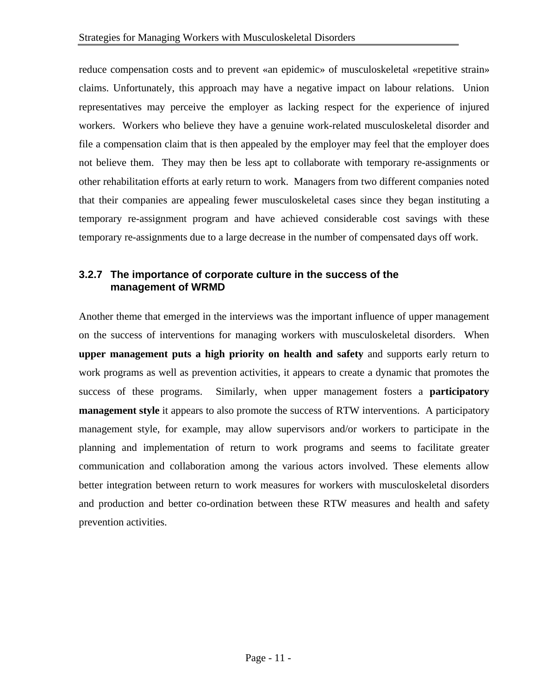reduce compensation costs and to prevent «an epidemic» of musculoskeletal «repetitive strain» claims. Unfortunately, this approach may have a negative impact on labour relations. Union representatives may perceive the employer as lacking respect for the experience of injured workers. Workers who believe they have a genuine work-related musculoskeletal disorder and file a compensation claim that is then appealed by the employer may feel that the employer does not believe them. They may then be less apt to collaborate with temporary re-assignments or other rehabilitation efforts at early return to work. Managers from two different companies noted that their companies are appealing fewer musculoskeletal cases since they began instituting a temporary re-assignment program and have achieved considerable cost savings with these temporary re-assignments due to a large decrease in the number of compensated days off work.

#### **3.2.7 The importance of corporate culture in the success of the management of WRMD**

Another theme that emerged in the interviews was the important influence of upper management on the success of interventions for managing workers with musculoskeletal disorders. When **upper management puts a high priority on health and safety** and supports early return to work programs as well as prevention activities, it appears to create a dynamic that promotes the success of these programs. Similarly, when upper management fosters a **participatory management style** it appears to also promote the success of RTW interventions. A participatory management style, for example, may allow supervisors and/or workers to participate in the planning and implementation of return to work programs and seems to facilitate greater communication and collaboration among the various actors involved. These elements allow better integration between return to work measures for workers with musculoskeletal disorders and production and better co-ordination between these RTW measures and health and safety prevention activities.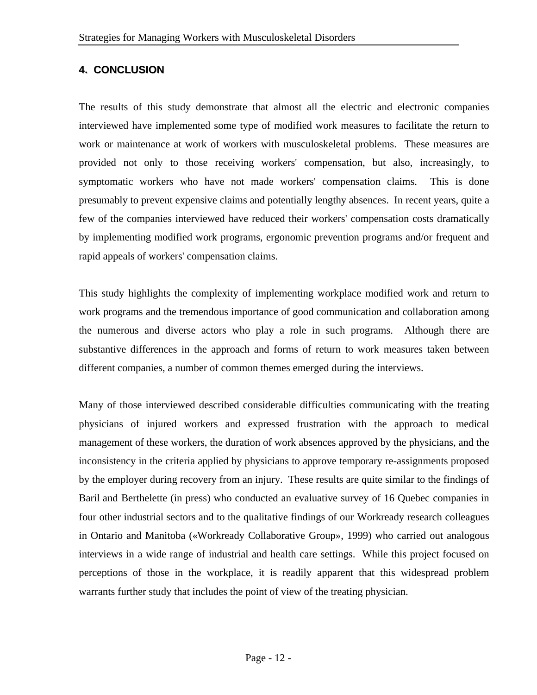#### **4. CONCLUSION**

The results of this study demonstrate that almost all the electric and electronic companies interviewed have implemented some type of modified work measures to facilitate the return to work or maintenance at work of workers with musculoskeletal problems. These measures are provided not only to those receiving workers' compensation, but also, increasingly, to symptomatic workers who have not made workers' compensation claims. This is done presumably to prevent expensive claims and potentially lengthy absences. In recent years, quite a few of the companies interviewed have reduced their workers' compensation costs dramatically by implementing modified work programs, ergonomic prevention programs and/or frequent and rapid appeals of workers' compensation claims.

This study highlights the complexity of implementing workplace modified work and return to work programs and the tremendous importance of good communication and collaboration among the numerous and diverse actors who play a role in such programs. Although there are substantive differences in the approach and forms of return to work measures taken between different companies, a number of common themes emerged during the interviews.

Many of those interviewed described considerable difficulties communicating with the treating physicians of injured workers and expressed frustration with the approach to medical management of these workers, the duration of work absences approved by the physicians, and the inconsistency in the criteria applied by physicians to approve temporary re-assignments proposed by the employer during recovery from an injury. These results are quite similar to the findings of Baril and Berthelette (in press) who conducted an evaluative survey of 16 Quebec companies in four other industrial sectors and to the qualitative findings of our Workready research colleagues in Ontario and Manitoba («Workready Collaborative Group», 1999) who carried out analogous interviews in a wide range of industrial and health care settings. While this project focused on perceptions of those in the workplace, it is readily apparent that this widespread problem warrants further study that includes the point of view of the treating physician.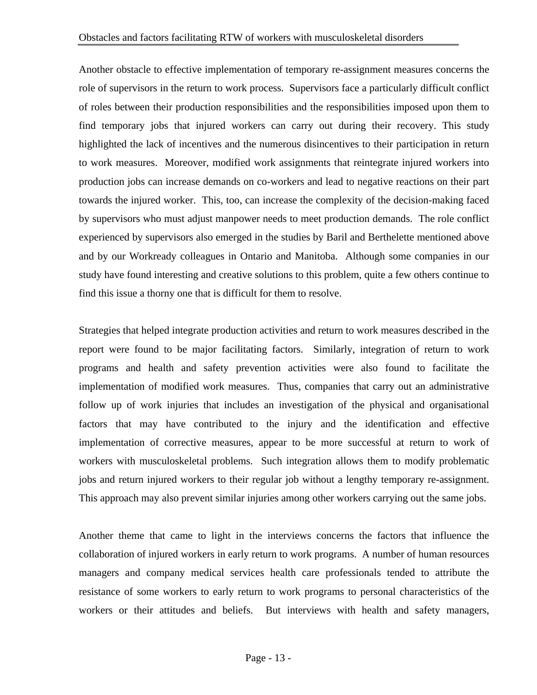Another obstacle to effective implementation of temporary re-assignment measures concerns the role of supervisors in the return to work process. Supervisors face a particularly difficult conflict of roles between their production responsibilities and the responsibilities imposed upon them to find temporary jobs that injured workers can carry out during their recovery. This study highlighted the lack of incentives and the numerous disincentives to their participation in return to work measures. Moreover, modified work assignments that reintegrate injured workers into production jobs can increase demands on co-workers and lead to negative reactions on their part towards the injured worker. This, too, can increase the complexity of the decision-making faced by supervisors who must adjust manpower needs to meet production demands. The role conflict experienced by supervisors also emerged in the studies by Baril and Berthelette mentioned above and by our Workready colleagues in Ontario and Manitoba. Although some companies in our study have found interesting and creative solutions to this problem, quite a few others continue to find this issue a thorny one that is difficult for them to resolve.

Strategies that helped integrate production activities and return to work measures described in the report were found to be major facilitating factors. Similarly, integration of return to work programs and health and safety prevention activities were also found to facilitate the implementation of modified work measures. Thus, companies that carry out an administrative follow up of work injuries that includes an investigation of the physical and organisational factors that may have contributed to the injury and the identification and effective implementation of corrective measures, appear to be more successful at return to work of workers with musculoskeletal problems. Such integration allows them to modify problematic jobs and return injured workers to their regular job without a lengthy temporary re-assignment. This approach may also prevent similar injuries among other workers carrying out the same jobs.

Another theme that came to light in the interviews concerns the factors that influence the collaboration of injured workers in early return to work programs. A number of human resources managers and company medical services health care professionals tended to attribute the resistance of some workers to early return to work programs to personal characteristics of the workers or their attitudes and beliefs. But interviews with health and safety managers,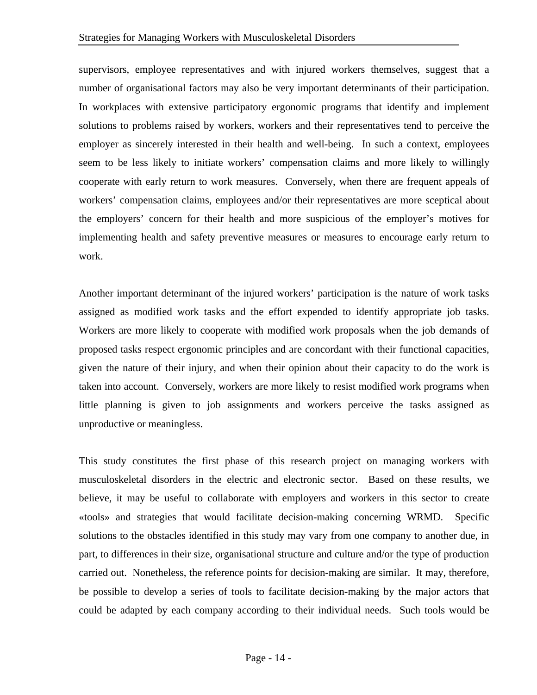supervisors, employee representatives and with injured workers themselves, suggest that a number of organisational factors may also be very important determinants of their participation. In workplaces with extensive participatory ergonomic programs that identify and implement solutions to problems raised by workers, workers and their representatives tend to perceive the employer as sincerely interested in their health and well-being. In such a context, employees seem to be less likely to initiate workers' compensation claims and more likely to willingly cooperate with early return to work measures. Conversely, when there are frequent appeals of workers' compensation claims, employees and/or their representatives are more sceptical about the employers' concern for their health and more suspicious of the employer's motives for implementing health and safety preventive measures or measures to encourage early return to work.

Another important determinant of the injured workers' participation is the nature of work tasks assigned as modified work tasks and the effort expended to identify appropriate job tasks. Workers are more likely to cooperate with modified work proposals when the job demands of proposed tasks respect ergonomic principles and are concordant with their functional capacities, given the nature of their injury, and when their opinion about their capacity to do the work is taken into account. Conversely, workers are more likely to resist modified work programs when little planning is given to job assignments and workers perceive the tasks assigned as unproductive or meaningless.

This study constitutes the first phase of this research project on managing workers with musculoskeletal disorders in the electric and electronic sector. Based on these results, we believe, it may be useful to collaborate with employers and workers in this sector to create «tools» and strategies that would facilitate decision-making concerning WRMD. Specific solutions to the obstacles identified in this study may vary from one company to another due, in part, to differences in their size, organisational structure and culture and/or the type of production carried out. Nonetheless, the reference points for decision-making are similar. It may, therefore, be possible to develop a series of tools to facilitate decision-making by the major actors that could be adapted by each company according to their individual needs. Such tools would be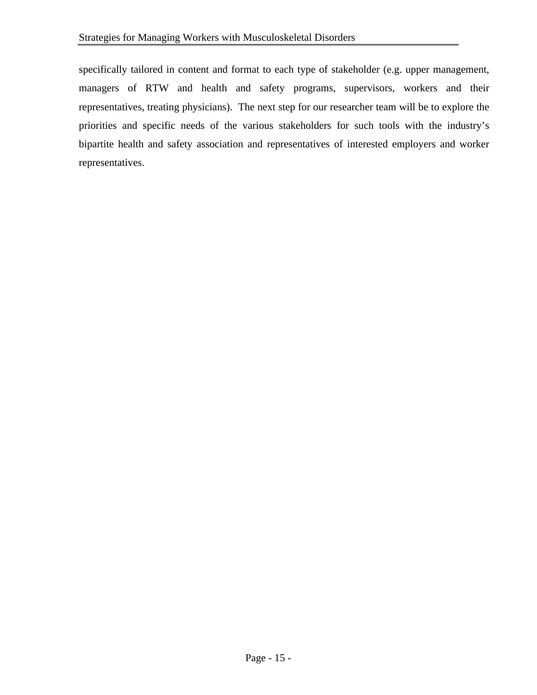specifically tailored in content and format to each type of stakeholder (e.g. upper management, managers of RTW and health and safety programs, supervisors, workers and their representatives, treating physicians). The next step for our researcher team will be to explore the priorities and specific needs of the various stakeholders for such tools with the industry's bipartite health and safety association and representatives of interested employers and worker representatives.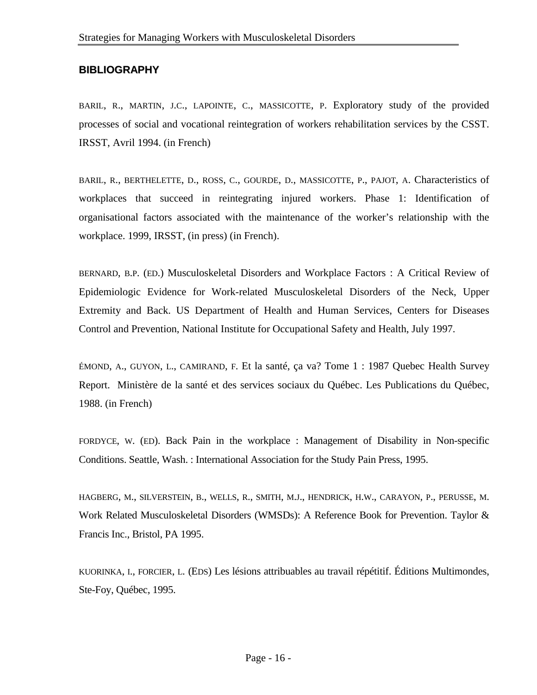#### **BIBLIOGRAPHY**

BARIL, R., MARTIN, J.C., LAPOINTE, C., MASSICOTTE, P. Exploratory study of the provided processes of social and vocational reintegration of workers rehabilitation services by the CSST. IRSST, Avril 1994. (in French)

BARIL, R., BERTHELETTE, D., ROSS, C., GOURDE, D., MASSICOTTE, P., PAJOT, A. Characteristics of workplaces that succeed in reintegrating injured workers. Phase 1: Identification of organisational factors associated with the maintenance of the worker's relationship with the workplace. 1999, IRSST, (in press) (in French).

BERNARD, B.P. (ED.) Musculoskeletal Disorders and Workplace Factors : A Critical Review of Epidemiologic Evidence for Work-related Musculoskeletal Disorders of the Neck, Upper Extremity and Back. US Department of Health and Human Services, Centers for Diseases Control and Prevention, National Institute for Occupational Safety and Health, July 1997.

ÉMOND, A., GUYON, L., CAMIRAND, F. Et la santé, ça va? Tome 1 : 1987 Quebec Health Survey Report. Ministère de la santé et des services sociaux du Québec. Les Publications du Québec, 1988. (in French)

FORDYCE, W. (ED). Back Pain in the workplace : Management of Disability in Non-specific Conditions. Seattle, Wash. : International Association for the Study Pain Press, 1995.

HAGBERG, M., SILVERSTEIN, B., WELLS, R., SMITH, M.J., HENDRICK, H.W., CARAYON, P., PERUSSE, M. Work Related Musculoskeletal Disorders (WMSDs): A Reference Book for Prevention. Taylor & Francis Inc., Bristol, PA 1995.

KUORINKA, I., FORCIER, L. (EDS) Les lésions attribuables au travail répétitif. Éditions Multimondes, Ste-Foy, Québec, 1995.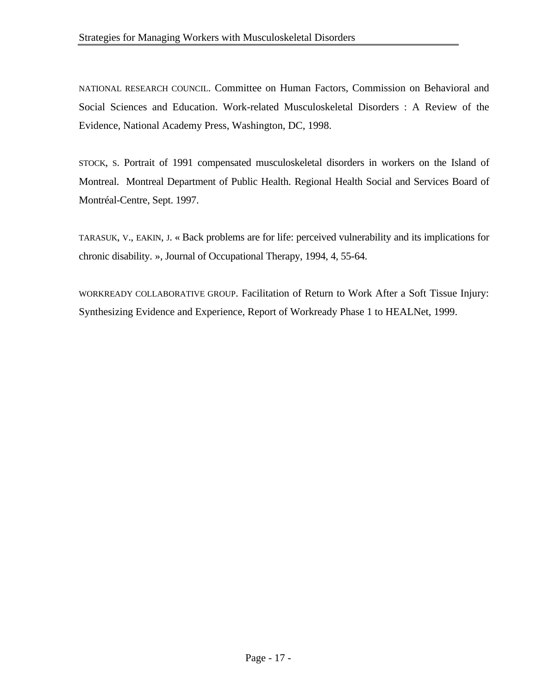NATIONAL RESEARCH COUNCIL. Committee on Human Factors, Commission on Behavioral and Social Sciences and Education. Work-related Musculoskeletal Disorders : A Review of the Evidence, National Academy Press, Washington, DC, 1998.

STOCK, S. Portrait of 1991 compensated musculoskeletal disorders in workers on the Island of Montreal. Montreal Department of Public Health. Regional Health Social and Services Board of Montréal-Centre, Sept. 1997.

TARASUK, V., EAKIN, J. « Back problems are for life: perceived vulnerability and its implications for chronic disability. », Journal of Occupational Therapy, 1994, 4, 55-64.

WORKREADY COLLABORATIVE GROUP. Facilitation of Return to Work After a Soft Tissue Injury: Synthesizing Evidence and Experience, Report of Workready Phase 1 to HEALNet, 1999.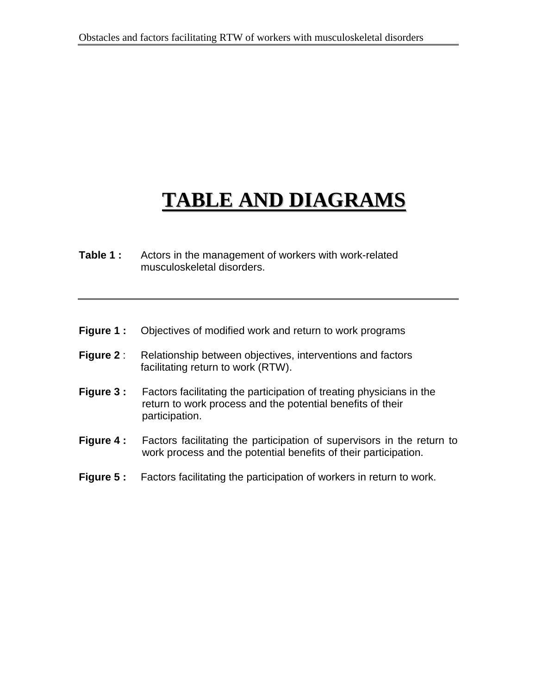# **TABLE AND DIAGRAMS**

- **Table 1 :** Actors in the management of workers with work-related musculoskeletal disorders.
- **Figure 1 :** Objectives of modified work and return to work programs
- **Figure 2** : Relationship between objectives, interventions and factors facilitating return to work (RTW).
- **Figure 3 :** Factors facilitating the participation of treating physicians in the return to work process and the potential benefits of their participation.
- **Figure 4 :** Factors facilitating the participation of supervisors in the return to work process and the potential benefits of their participation.
- **Figure 5:** Factors facilitating the participation of workers in return to work.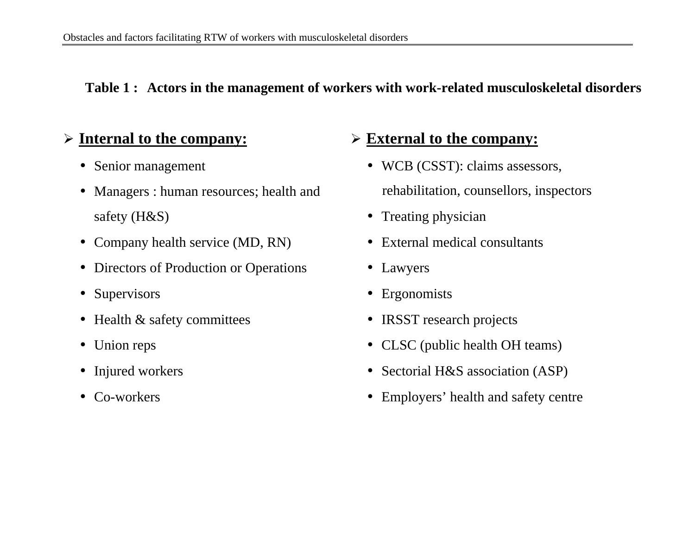### **Table 1 : Actors in the management of workers with work-related musculoskeletal disorders**

## ÿ **Internal to the company:**

- Senior management
- Managers : human resources; health and safety (H&S)
- Company health service (MD, RN)
- Directors of Production or Operations
- Supervisors
- Health & safety committees
- Union reps
- Injured workers
- Co-workers

# ÿ **External to the company:**

- WCB (CSST): claims assessors, rehabilitation, counsellors, inspectors
- Treating physician
- External medical consultants
- Lawyers
- Ergonomists
- **IRSST** research projects
- CLSC (public health OH teams)
- Sectorial H&S association (ASP)
- Employers' health and safety centre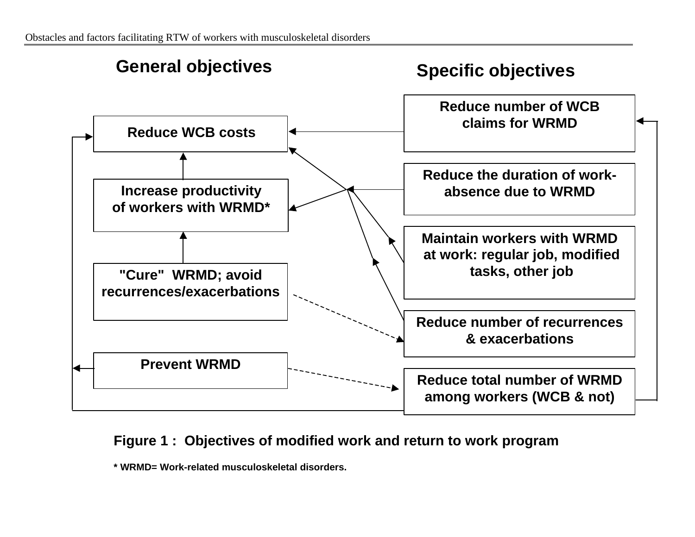

## **Figure 1 : Objectives of modified work and return to work program**

**\* WRMD= Work-related musculoskeletal disorders.**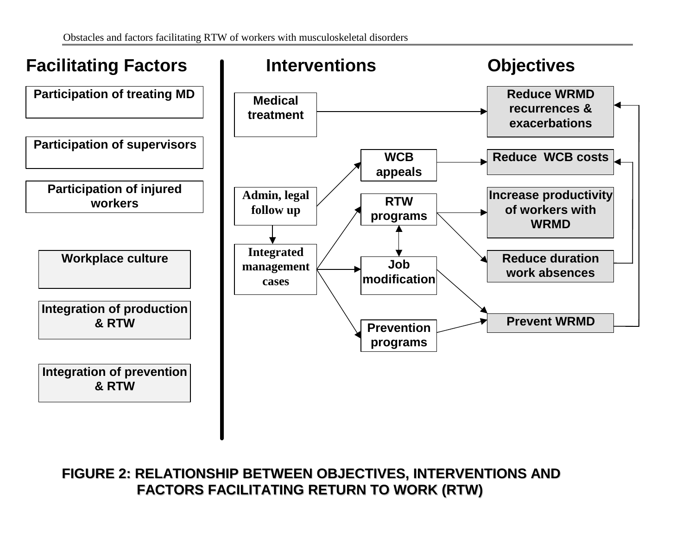![](_page_26_Figure_1.jpeg)

**FIGURE 2: RELATIONSHIP BETWEEN OBJECTIVES, INTERVENTIONS AND FACTORS FACILITATING RETURN TO WORK (RTW)**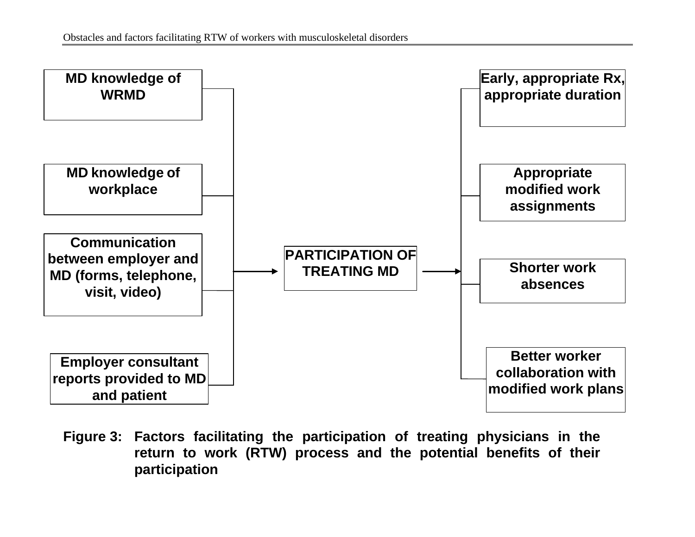![](_page_27_Figure_1.jpeg)

**Figure 3: Factors facilitating the participation of treating physicians in the return to work (RTW) process and the potential benefits of their participation**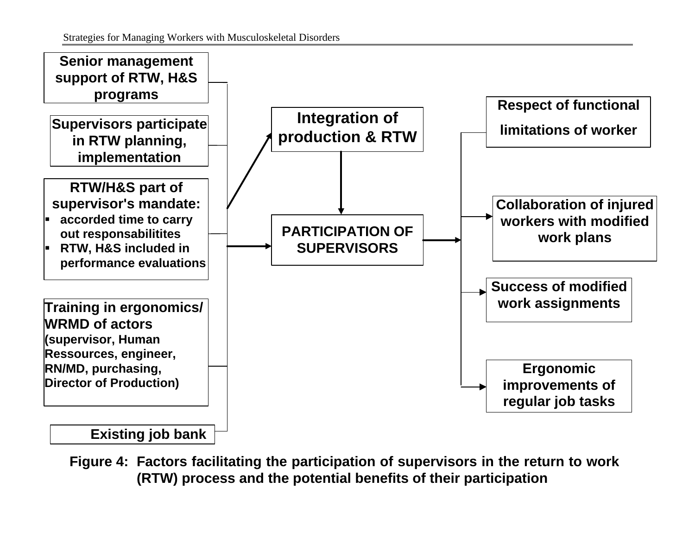![](_page_28_Figure_1.jpeg)

**Figure 4: Factors facilitating the participation of supervisors in the return to work (RTW) process and the potential benefits of their participation**